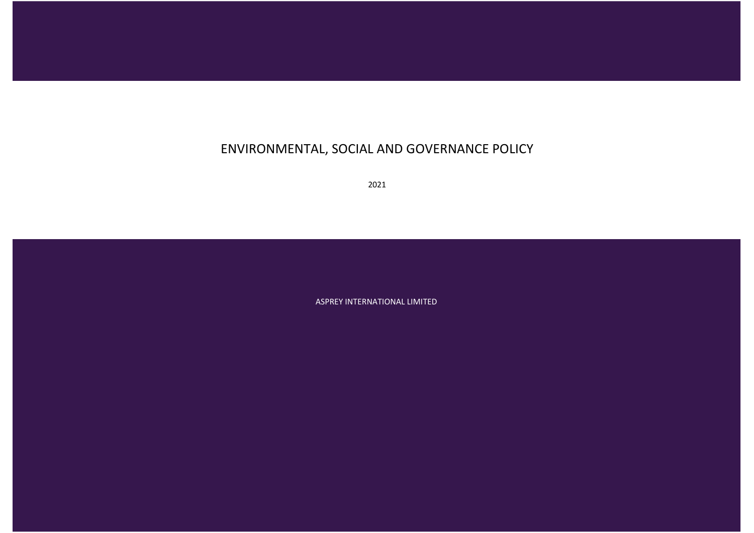# ENVIRONMENTAL, SOCIAL AND GOVERNANCE POLICY

2021

ASPREY INTERNATIONAL LIMITED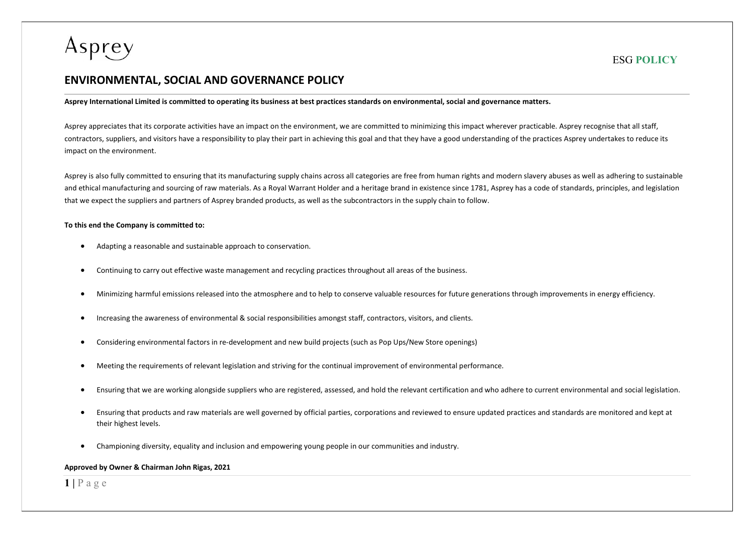

## ENVIRONMENTAL, SOCIAL AND GOVERNANCE POLICY

Asprey International Limited is committed to operating its business at best practices standards on environmental, social and governance matters.

Asprey appreciates that its corporate activities have an impact on the environment, we are committed to minimizing this impact wherever practicable. Asprey recognise that all staff, contractors, suppliers, and visitors have a responsibility to play their part in achieving this goal and that they have a good understanding of the practices Asprey undertakes to reduce its impact on the environment.

Asprey is also fully committed to ensuring that its manufacturing supply chains across all categories are free from human rights and modern slavery abuses as well as adhering to sustainable and ethical manufacturing and sourcing of raw materials. As a Royal Warrant Holder and a heritage brand in existence since 1781, Asprey has a code of standards, principles, and legislation that we expect the suppliers and partners of Asprey branded products, as well as the subcontractors in the supply chain to follow.

#### To this end the Company is committed to:

- Adapting a reasonable and sustainable approach to conservation.
- Continuing to carry out effective waste management and recycling practices throughout all areas of the business.
- Minimizing harmful emissions released into the atmosphere and to help to conserve valuable resources for future generations through improvements in energy efficiency.
- Increasing the awareness of environmental & social responsibilities amongst staff, contractors, visitors, and clients.
- Considering environmental factors in re-development and new build projects (such as Pop Ups/New Store openings)
- Meeting the requirements of relevant legislation and striving for the continual improvement of environmental performance.
- Ensuring that we are working alongside suppliers who are registered, assessed, and hold the relevant certification and who adhere to current environmental and social legislation.
- Ensuring that products and raw materials are well governed by official parties, corporations and reviewed to ensure updated practices and standards are monitored and kept at their highest levels.
- Championing diversity, equality and inclusion and empowering young people in our communities and industry.

#### Approved by Owner & Chairman John Rigas, 2021

### $1 | P a g e$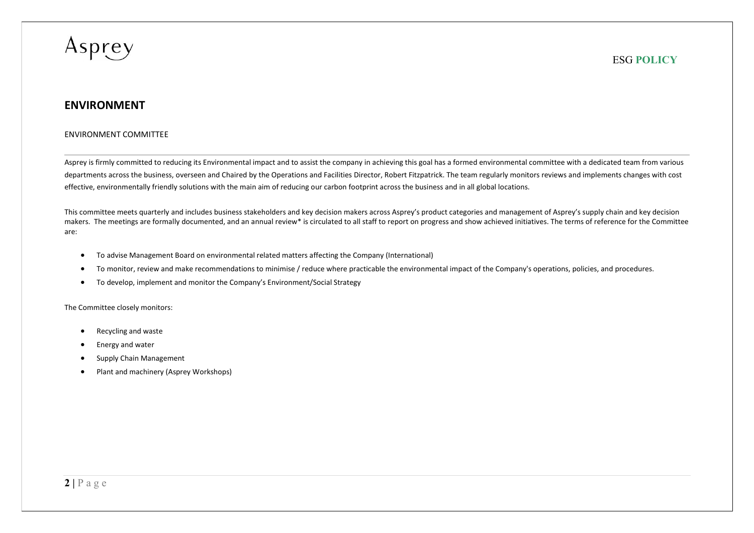## ENVIRONMENT

#### ENVIRONMENT COMMITTEE

Asprey is firmly committed to reducing its Environmental impact and to assist the company in achieving this goal has a formed environmental committee with a dedicated team from various departments across the business, overseen and Chaired by the Operations and Facilities Director, Robert Fitzpatrick. The team regularly monitors reviews and implements changes with cost effective, environmentally friendly solutions with the main aim of reducing our carbon footprint across the business and in all global locations.

This committee meets quarterly and includes business stakeholders and key decision makers across Asprey's product categories and management of Asprey's supply chain and key decision makers. The meetings are formally documented, and an annual review\* is circulated to all staff to report on progress and show achieved initiatives. The terms of reference for the Committee are:

- To advise Management Board on environmental related matters affecting the Company (International)
- To monitor, review and make recommendations to minimise / reduce where practicable the environmental impact of the Company's operations, policies, and procedures.
- To develop, implement and monitor the Company's Environment/Social Strategy

The Committee closely monitors:

- Recycling and waste
- Energy and water
- Supply Chain Management
- Plant and machinery (Asprey Workshops)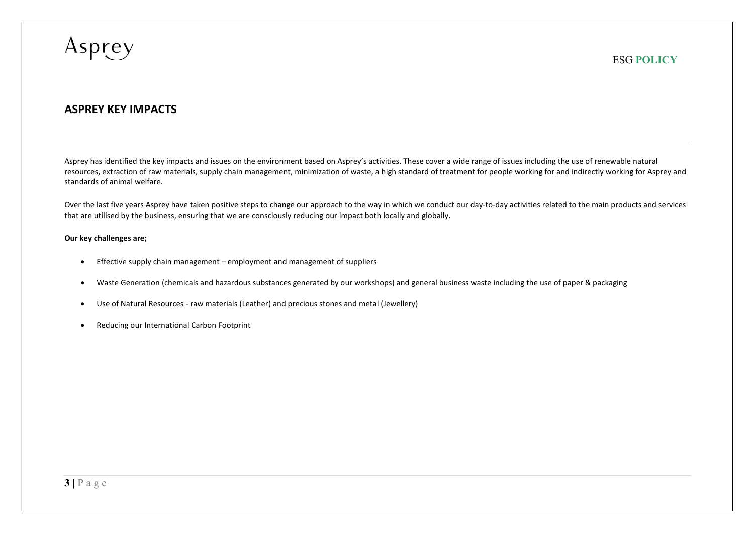

## ASPREY KEY IMPACTS

Asprey has identified the key impacts and issues on the environment based on Asprey's activities. These cover a wide range of issues including the use of renewable natural resources, extraction of raw materials, supply chain management, minimization of waste, a high standard of treatment for people working for and indirectly working for Asprey and standards of animal welfare.

Over the last five years Asprey have taken positive steps to change our approach to the way in which we conduct our day-to-day activities related to the main products and services that are utilised by the business, ensuring that we are consciously reducing our impact both locally and globally.

#### Our key challenges are;

- Effective supply chain management employment and management of suppliers
- Waste Generation (chemicals and hazardous substances generated by our workshops) and general business waste including the use of paper & packaging
- Use of Natural Resources raw materials (Leather) and precious stones and metal (Jewellery)
- Reducing our International Carbon Footprint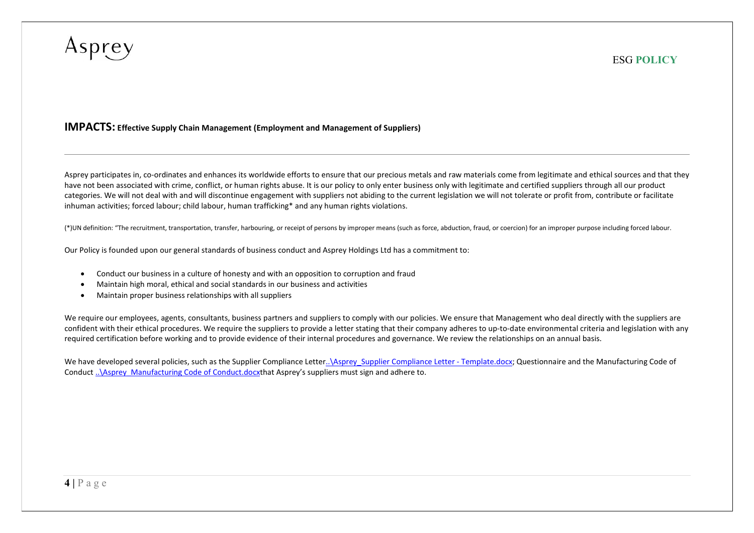### IMPACTS: Effective Supply Chain Management (Employment and Management of Suppliers)

Asprey participates in, co-ordinates and enhances its worldwide efforts to ensure that our precious metals and raw materials come from legitimate and ethical sources and that they have not been associated with crime, conflict, or human rights abuse. It is our policy to only enter business only with legitimate and certified suppliers through all our product categories. We will not deal with and will discontinue engagement with suppliers not abiding to the current legislation we will not tolerate or profit from, contribute or facilitate inhuman activities; forced labour; child labour, human trafficking\* and any human rights violations.

(\*)UN definition: "The recruitment, transportation, transfer, harbouring, or receipt of persons by improper means (such as force, abduction, fraud, or coercion) for an improper purpose including forced labour.

Our Policy is founded upon our general standards of business conduct and Asprey Holdings Ltd has a commitment to:

- Conduct our business in a culture of honesty and with an opposition to corruption and fraud
- Maintain high moral, ethical and social standards in our business and activities
- Maintain proper business relationships with all suppliers

We require our employees, agents, consultants, business partners and suppliers to comply with our policies. We ensure that Management who deal directly with the suppliers are confident with their ethical procedures. We require the suppliers to provide a letter stating that their company adheres to up-to-date environmental criteria and legislation with any required certification before working and to provide evidence of their internal procedures and governance. We review the relationships on an annual basis.

We have developed several policies, such as the Supplier Compliance Letter..\Asprey\_Supplier Compliance Letter - Template.docx; Questionnaire and the Manufacturing Code of Conduct ... \Asprey\_Manufacturing Code of Conduct.docxthat Asprey's suppliers must sign and adhere to.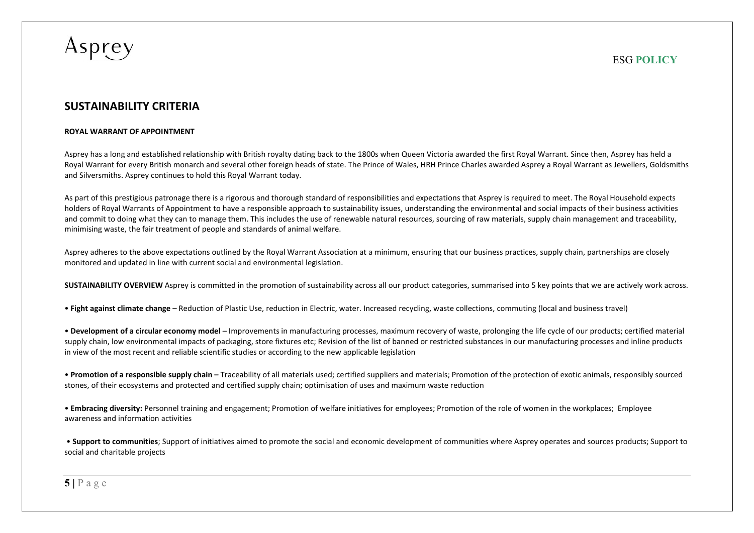

## SUSTAINABILITY CRITERIA

#### ROYAL WARRANT OF APPOINTMENT

Asprey has a long and established relationship with British royalty dating back to the 1800s when Queen Victoria awarded the first Royal Warrant. Since then, Asprey has held a Royal Warrant for every British monarch and several other foreign heads of state. The Prince of Wales, HRH Prince Charles awarded Asprey a Royal Warrant as Jewellers, Goldsmiths and Silversmiths. Asprey continues to hold this Royal Warrant today.

As part of this prestigious patronage there is a rigorous and thorough standard of responsibilities and expectations that Asprey is required to meet. The Royal Household expects holders of Royal Warrants of Appointment to have a responsible approach to sustainability issues, understanding the environmental and social impacts of their business activities and commit to doing what they can to manage them. This includes the use of renewable natural resources, sourcing of raw materials, supply chain management and traceability, minimising waste, the fair treatment of people and standards of animal welfare.

Asprey adheres to the above expectations outlined by the Royal Warrant Association at a minimum, ensuring that our business practices, supply chain, partnerships are closely monitored and updated in line with current social and environmental legislation.

SUSTAINABILITY OVERVIEW Asprey is committed in the promotion of sustainability across all our product categories, summarised into 5 key points that we are actively work across.

• Fight against climate change – Reduction of Plastic Use, reduction in Electric, water. Increased recycling, waste collections, commuting (local and business travel)

• Development of a circular economy model – Improvements in manufacturing processes, maximum recovery of waste, prolonging the life cycle of our products; certified material supply chain, low environmental impacts of packaging, store fixtures etc; Revision of the list of banned or restricted substances in our manufacturing processes and inline products in view of the most recent and reliable scientific studies or according to the new applicable legislation

• Promotion of a responsible supply chain – Traceability of all materials used; certified suppliers and materials; Promotion of the protection of exotic animals, responsibly sourced stones, of their ecosystems and protected and certified supply chain; optimisation of uses and maximum waste reduction

• Embracing diversity: Personnel training and engagement; Promotion of welfare initiatives for employees; Promotion of the role of women in the workplaces; Employee awareness and information activities

 • Support to communities; Support of initiatives aimed to promote the social and economic development of communities where Asprey operates and sources products; Support to social and charitable projects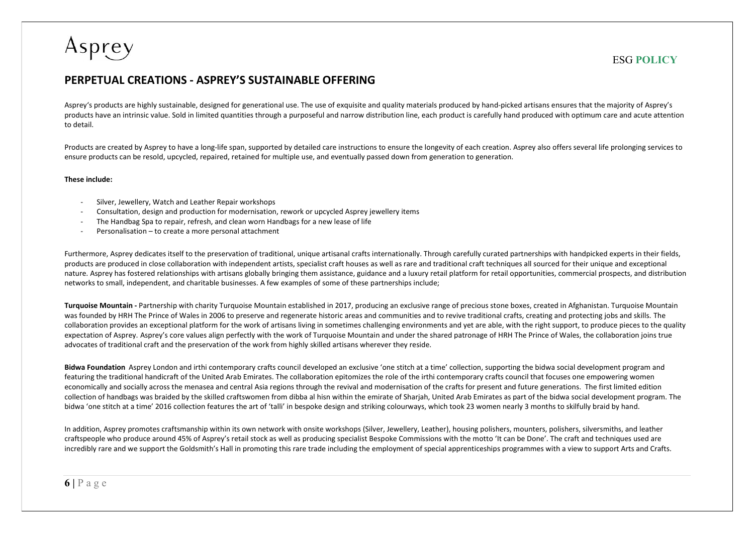## PERPETUAL CREATIONS - ASPREY'S SUSTAINABLE OFFERING

Asprey's products are highly sustainable, designed for generational use. The use of exquisite and quality materials produced by hand-picked artisans ensures that the majority of Asprey's products have an intrinsic value. Sold in limited quantities through a purposeful and narrow distribution line, each product is carefully hand produced with optimum care and acute attention to detail.

Products are created by Asprey to have a long-life span, supported by detailed care instructions to ensure the longevity of each creation. Asprey also offers several life prolonging services to ensure products can be resold, upcycled, repaired, retained for multiple use, and eventually passed down from generation to generation.

#### These include:

- Silver, Jewellery, Watch and Leather Repair workshops
- Consultation, design and production for modernisation, rework or upcycled Asprey jewellery items
- The Handbag Spa to repair, refresh, and clean worn Handbags for a new lease of life
- Personalisation to create a more personal attachment

Furthermore, Asprey dedicates itself to the preservation of traditional, unique artisanal crafts internationally. Through carefully curated partnerships with handpicked experts in their fields, products are produced in close collaboration with independent artists, specialist craft houses as well as rare and traditional craft techniques all sourced for their unique and exceptional nature. Asprey has fostered relationships with artisans globally bringing them assistance, guidance and a luxury retail platform for retail opportunities, commercial prospects, and distribution networks to small, independent, and charitable businesses. A few examples of some of these partnerships include;

Turquoise Mountain - Partnership with charity Turquoise Mountain established in 2017, producing an exclusive range of precious stone boxes, created in Afghanistan. Turquoise Mountain was founded by HRH The Prince of Wales in 2006 to preserve and regenerate historic areas and communities and to revive traditional crafts, creating and protecting jobs and skills. The collaboration provides an exceptional platform for the work of artisans living in sometimes challenging environments and yet are able, with the right support, to produce pieces to the quality expectation of Asprey. Asprey's core values align perfectly with the work of Turquoise Mountain and under the shared patronage of HRH The Prince of Wales, the collaboration ioins true advocates of traditional craft and the preservation of the work from highly skilled artisans wherever they reside.

Bidwa Foundation Asprey London and irthi contemporary crafts council developed an exclusive 'one stitch at a time' collection, supporting the bidwa social development program and featuring the traditional handicraft of the United Arab Emirates. The collaboration epitomizes the role of the irthi contemporary crafts council that focuses one empowering women economically and socially across the menasea and central Asia regions through the revival and modernisation of the crafts for present and future generations. The first limited edition collection of handbags was braided by the skilled craftswomen from dibba al hisn within the emirate of Sharjah, United Arab Emirates as part of the bidwa social development program. The bidwa 'one stitch at a time' 2016 collection features the art of 'talli' in bespoke design and striking colourways, which took 23 women nearly 3 months to skilfully braid by hand.

In addition, Asprey promotes craftsmanship within its own network with onsite workshops (Silver, Jewellery, Leather), housing polishers, mounters, polishers, silversmiths, and leather craftspeople who produce around 45% of Asprey's retail stock as well as producing specialist Bespoke Commissions with the motto 'It can be Done'. The craft and techniques used are incredibly rare and we support the Goldsmith's Hall in promoting this rare trade including the employment of special apprenticeships programmes with a view to support Arts and Crafts.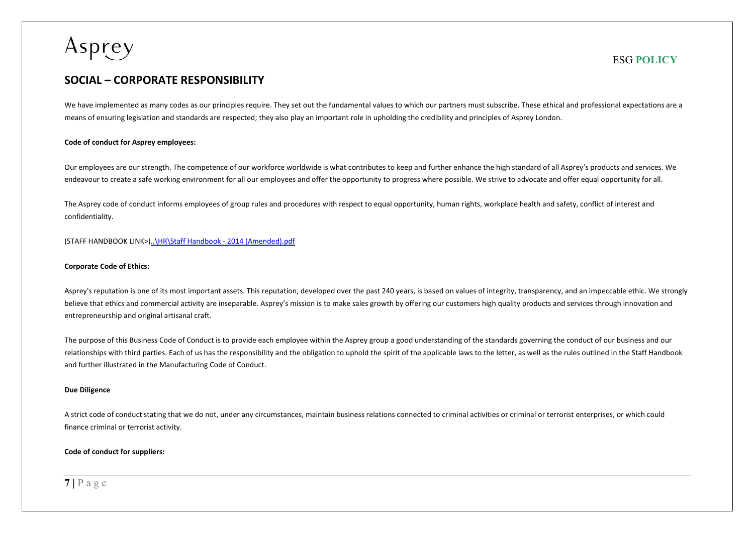## SOCIAL – CORPORATE RESPONSIBILITY

We have implemented as many codes as our principles require. They set out the fundamental values to which our partners must subscribe. These ethical and professional expectations are a means of ensuring legislation and standards are respected; they also play an important role in upholding the credibility and principles of Asprey London.

#### Code of conduct for Asprey employees:

Our employees are our strength. The competence of our workforce worldwide is what contributes to keep and further enhance the high standard of all Asprey's products and services. We endeavour to create a safe working environment for all our employees and offer the opportunity to progress where possible. We strive to advocate and offer equal opportunity for all.

The Asprey code of conduct informs employees of group rules and procedures with respect to equal opportunity, human rights, workplace health and safety, conflict of interest and confidentiality.

(STAFF HANDBOOK LINK>)..\HR\Staff Handbook - 2014 (Amended).pdf

#### Corporate Code of Ethics:

Asprey's reputation is one of its most important assets. This reputation, developed over the past 240 years, is based on values of integrity, transparency, and an impeccable ethic. We strongly believe that ethics and commercial activity are inseparable. Asprey's mission is to make sales growth by offering our customers high quality products and services through innovation and entrepreneurship and original artisanal craft.

The purpose of this Business Code of Conduct is to provide each employee within the Asprey group a good understanding of the standards governing the conduct of our business and our relationships with third parties. Each of us has the responsibility and the obligation to uphold the spirit of the applicable laws to the letter, as well as the rules outlined in the Staff Handbook and further illustrated in the Manufacturing Code of Conduct.

#### Due Diligence

A strict code of conduct stating that we do not, under any circumstances, maintain business relations connected to criminal activities or criminal or terrorist enterprises, or which could finance criminal or terrorist activity.

#### Code of conduct for suppliers: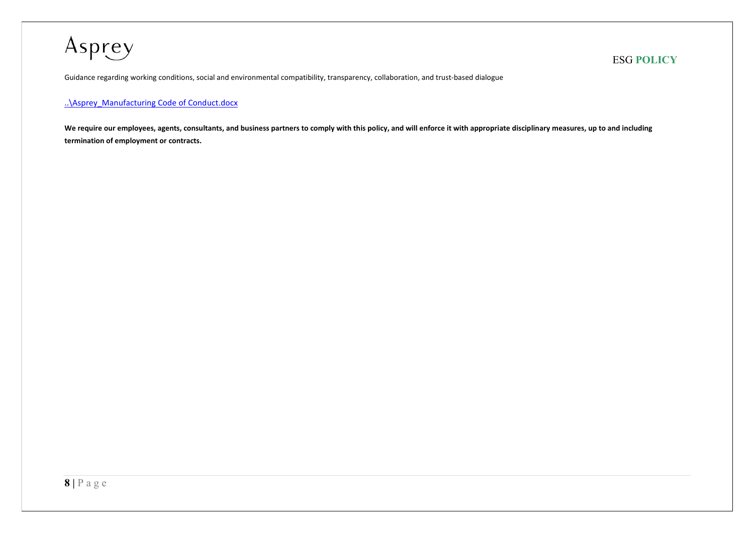Guidance regarding working conditions, social and environmental compatibility, transparency, collaboration, and trust-based dialogue

### ..\Asprey\_Manufacturing Code of Conduct.docx

We require our employees, agents, consultants, and business partners to comply with this policy, and will enforce it with appropriate disciplinary measures, up to and including termination of employment or contracts.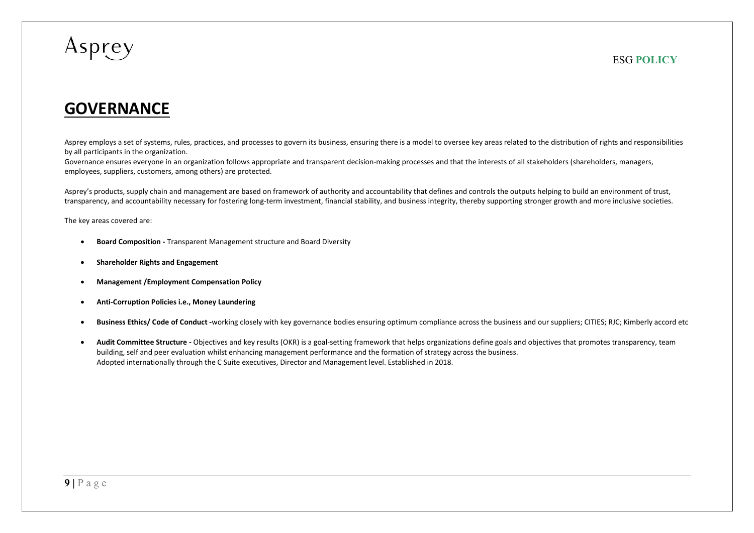# **GOVERNANCE**

Asprey employs a set of systems, rules, practices, and processes to govern its business, ensuring there is a model to oversee key areas related to the distribution of rights and responsibilities by all participants in the organization.

Governance ensures everyone in an organization follows appropriate and transparent decision-making processes and that the interests of all stakeholders (shareholders, managers, employees, suppliers, customers, among others) are protected.

Asprey's products, supply chain and management are based on framework of authority and accountability that defines and controls the outputs helping to build an environment of trust, transparency, and accountability necessary for fostering long-term investment, financial stability, and business integrity, thereby supporting stronger growth and more inclusive societies.

The key areas covered are:

- **•** Board Composition Transparent Management structure and Board Diversity
- Shareholder Rights and Engagement
- Management /Employment Compensation Policy
- Anti-Corruption Policies i.e., Money Laundering
- Business Ethics/ Code of Conduct -working closely with key governance bodies ensuring optimum compliance across the business and our suppliers; CITIES; RJC; Kimberly accord etc
- Audit Committee Structure Objectives and key results (OKR) is a goal-setting framework that helps organizations define goals and objectives that promotes transparency, team building, self and peer evaluation whilst enhancing management performance and the formation of strategy across the business. Adopted internationally through the C Suite executives, Director and Management level. Established in 2018.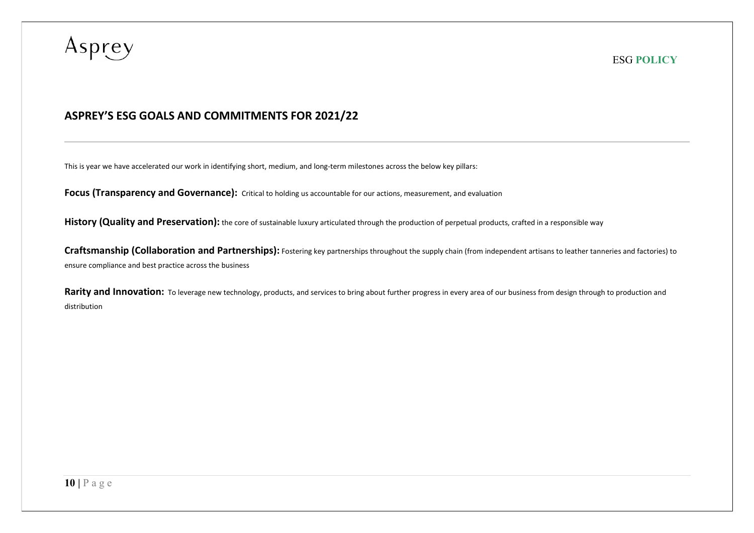## ASPREY'S ESG GOALS AND COMMITMENTS FOR 2021/22

This is year we have accelerated our work in identifying short, medium, and long-term milestones across the below key pillars:

Focus (Transparency and Governance): Critical to holding us accountable for our actions, measurement, and evaluation

History (Quality and Preservation): the core of sustainable luxury articulated through the production of perpetual products, crafted in a responsible way

Craftsmanship (Collaboration and Partnerships): Fostering key partnerships throughout the supply chain (from independent artisans to leather tanneries and factories) to ensure compliance and best practice across the business

Rarity and Innovation: To leverage new technology, products, and services to bring about further progress in every area of our business from design through to production and distribution